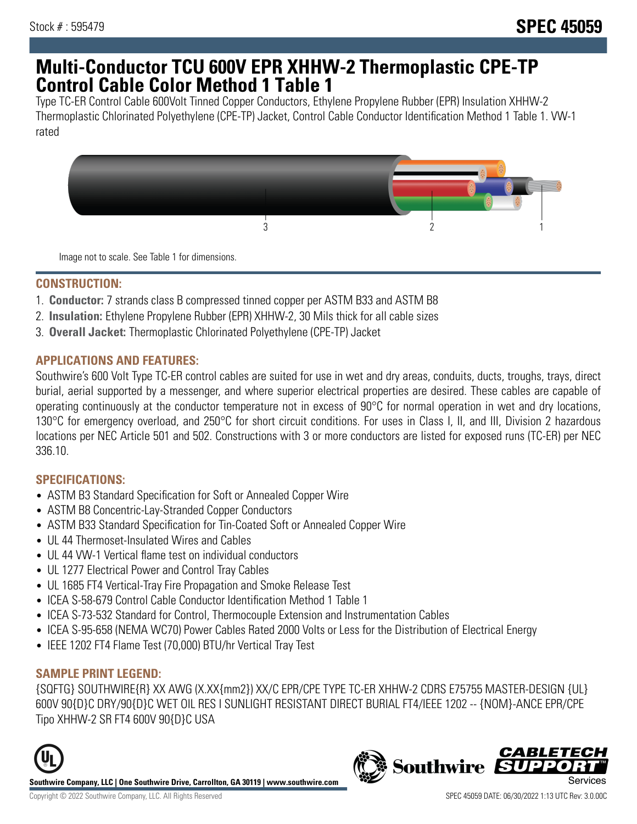# **Multi-Conductor TCU 600V EPR XHHW-2 Thermoplastic CPE-TP Control Cable Color Method 1 Table 1**

Type TC-ER Control Cable 600Volt Tinned Copper Conductors, Ethylene Propylene Rubber (EPR) Insulation XHHW-2 Thermoplastic Chlorinated Polyethylene (CPE-TP) Jacket, Control Cable Conductor Identification Method 1 Table 1. VW-1 rated



Image not to scale. See Table 1 for dimensions.

#### **CONSTRUCTION:**

- 1. **Conductor:** 7 strands class B compressed tinned copper per ASTM B33 and ASTM B8
- 2. **Insulation:** Ethylene Propylene Rubber (EPR) XHHW-2, 30 Mils thick for all cable sizes
- 3. **Overall Jacket:** Thermoplastic Chlorinated Polyethylene (CPE-TP) Jacket

#### **APPLICATIONS AND FEATURES:**

Southwire's 600 Volt Type TC-ER control cables are suited for use in wet and dry areas, conduits, ducts, troughs, trays, direct burial, aerial supported by a messenger, and where superior electrical properties are desired. These cables are capable of operating continuously at the conductor temperature not in excess of 90°C for normal operation in wet and dry locations, 130°C for emergency overload, and 250°C for short circuit conditions. For uses in Class I, II, and III, Division 2 hazardous locations per NEC Article 501 and 502. Constructions with 3 or more conductors are listed for exposed runs (TC-ER) per NEC 336.10.

## **SPECIFICATIONS:**

- ASTM B3 Standard Specification for Soft or Annealed Copper Wire
- ASTM B8 Concentric-Lay-Stranded Copper Conductors
- ASTM B33 Standard Specification for Tin-Coated Soft or Annealed Copper Wire
- UL 44 Thermoset-Insulated Wires and Cables
- UL 44 VW-1 Vertical flame test on individual conductors
- UL 1277 Electrical Power and Control Tray Cables
- UL 1685 FT4 Vertical-Tray Fire Propagation and Smoke Release Test
- ICEA S-58-679 Control Cable Conductor Identification Method 1 Table 1
- ICEA S-73-532 Standard for Control, Thermocouple Extension and Instrumentation Cables
- ICEA S-95-658 (NEMA WC70) Power Cables Rated 2000 Volts or Less for the Distribution of Electrical Energy
- IEEE 1202 FT4 Flame Test (70,000) BTU/hr Vertical Tray Test

## **SAMPLE PRINT LEGEND:**

{SQFTG} SOUTHWIRE{R} XX AWG (X.XX{mm2}) XX/C EPR/CPE TYPE TC-ER XHHW-2 CDRS E75755 MASTER-DESIGN {UL} 600V 90{D}C DRY/90{D}C WET OIL RES I SUNLIGHT RESISTANT DIRECT BURIAL FT4/IEEE 1202 -- {NOM}-ANCE EPR/CPE Tipo XHHW-2 SR FT4 600V 90{D}C USA



**Southwire Company, LLC | One Southwire Drive, Carrollton, GA 30119 | www.southwire.com**